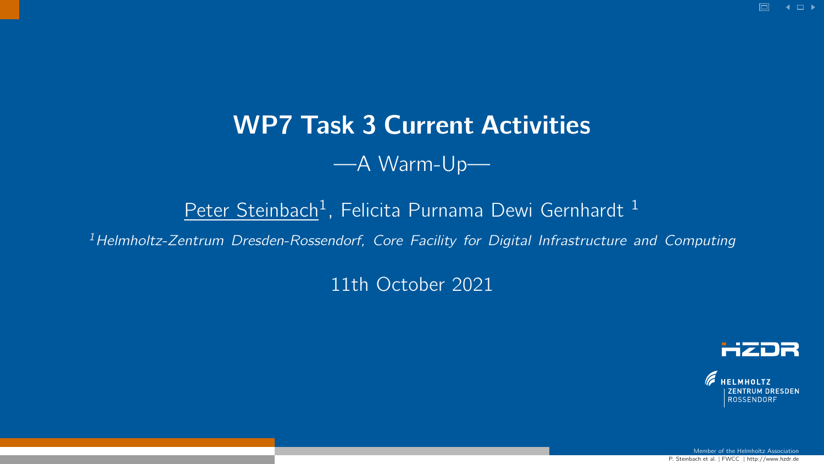# WP7 Task 3 Current Activities

### —A Warm-Up—

### <u>Peter Steinbach</u><sup>1</sup>, Felicita Purnama Dewi Gernhardt <sup>1</sup>

<span id="page-0-0"></span><sup>1</sup>Helmholtz-Zentrum Dresden-Rossendorf, Core Facility for Digital Infrastructure and Computing

#### 11th October 2021



Member of the Helmholtz  $\Delta$ 

P. Steinbach et al. <sup>|</sup> FWCC <sup>|</sup> http://www.hzdr.de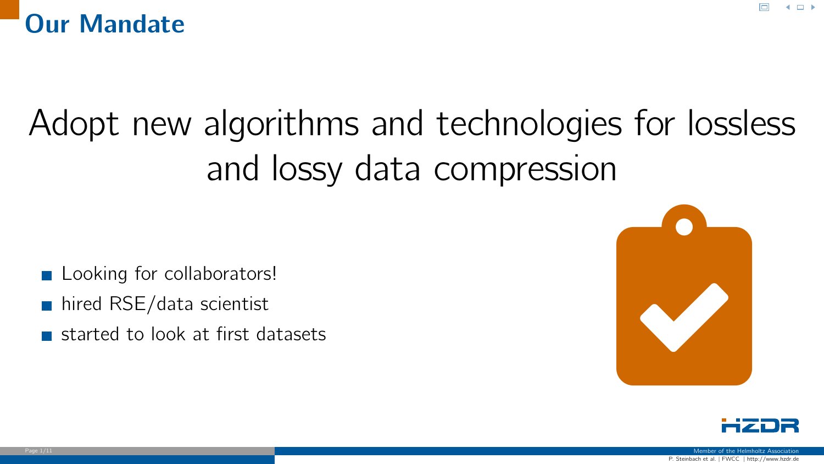

# Adopt new algorithms and technologies for lossless and lossy data compression

- **Looking for collaborators!**
- hired RSE/data scientist
- 





 $4.11\pm$ 

P. Steinbach et al. <sup>|</sup> FWCC <sup>|</sup> http://www.hzdr.de Page 1/11 Member of the Helmholtz Association (1999) and the Helmholtz Association (1999) and the Helmholtz Association (1999) and the Helmholtz Association (1999) and the Helmholtz Association (1999) and the Helmholtz Ass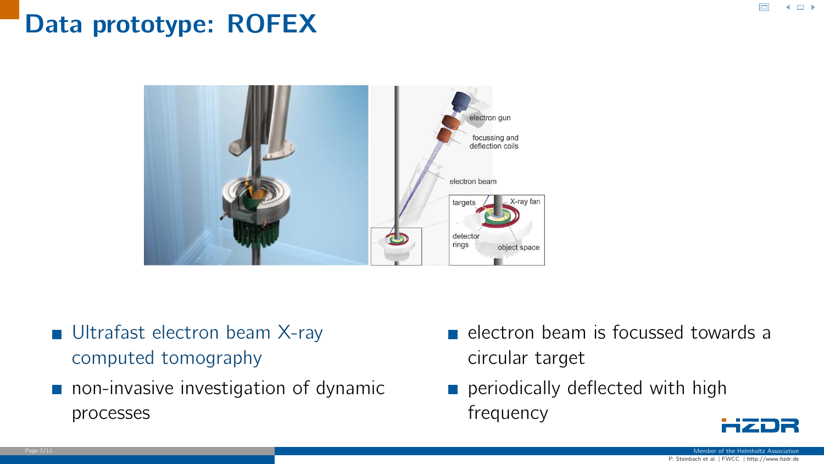### Data prototype: ROFEX



- [Ultrafast electron beam X-ray](https://www.hzdr.de/db/Cms?pOid=30242&pNid=719) [computed tomography](https://www.hzdr.de/db/Cms?pOid=30242&pNid=719)
- non-invasive investigation of dynamic processes
- electron beam is focussed towards a circular target
- periodically deflected with high  $\mathcal{L}_{\mathcal{A}}$ frequency

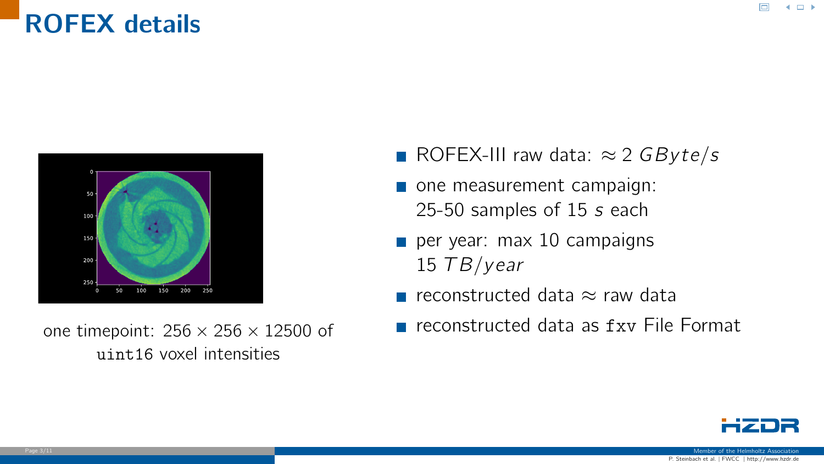### ROFEX details



one timepoint:  $256 \times 256 \times 12500$  of uint16 voxel intensities

- ROFEX-III raw data:  $\approx 2$  GByte/s
- one measurement campaign: 25-50 samples of 15 s each
- per year: max 10 campaigns 15  $TB/year$
- reconstructed data  $\approx$  raw data
- **F** reconstructed data as fxy File Format



 $4.11\pm$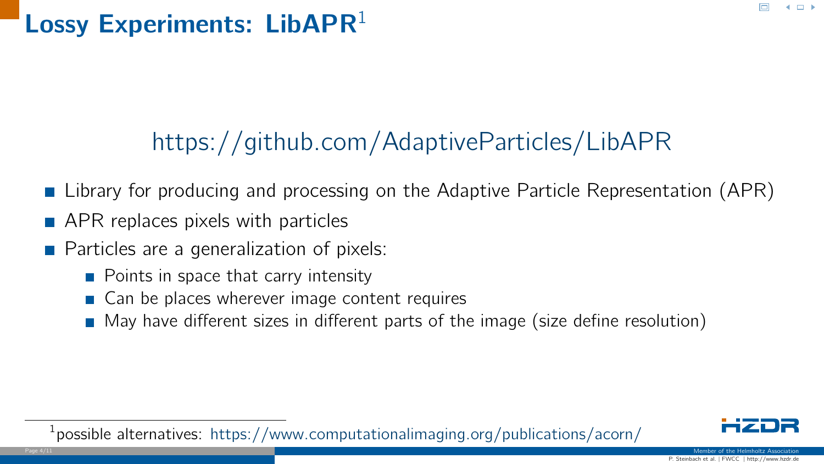## Lossy Experiments: LibAPR $1$

# [https://github.com/AdaptiveParticles/LibAPR](#page-0-0)

- **Library for producing and processing on the Adaptive Particle Representation (APR)**
- **APR** replaces pixels with particles
- **Particles are a generalization of pixels:** 
	- $\blacksquare$  Points in space that carry intensity
	- Can be places wherever image content requires
	- $\blacksquare$  May have different sizes in different parts of the image (size define resolution)

<sup>1</sup> possible alternatives: [https://www.computationalimaging.org/publications/acorn/](#page-0-0)

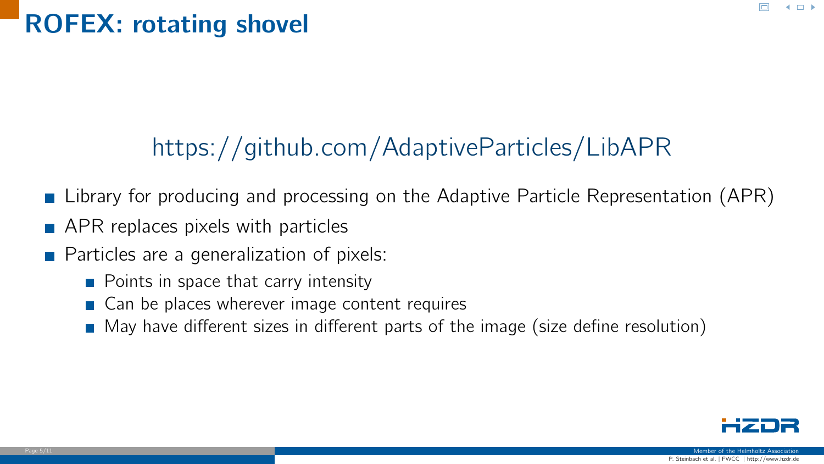### ROFEX: rotating shovel

# [https://github.com/AdaptiveParticles/LibAPR](#page-0-0)

- **Library for producing and processing on the Adaptive Particle Representation (APR)**
- **APR** replaces pixels with particles
- **Particles are a generalization of pixels:** 
	- $\blacksquare$  Points in space that carry intensity
	- Can be places wherever image content requires
	- $\blacksquare$  May have different sizes in different parts of the image (size define resolution)

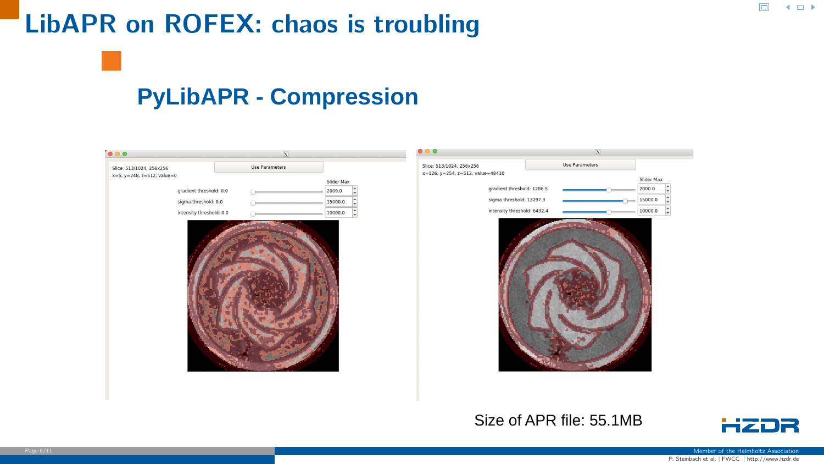### LibAPR on ROFEX: chaos is troubling

### **PyLibAPR - Compression**

| $\bullet \bullet \bullet$                              |                              | $\overline{\mathbf{x}}$ |            | $\bullet$ $\bullet$ $\bullet$                                | $\mathbf{X}$   |            |
|--------------------------------------------------------|------------------------------|-------------------------|------------|--------------------------------------------------------------|----------------|------------|
| Slice: 513/1024, 256x256<br>x=5, y=248, z=512, value=0 |                              | Use Parameters          | Slider Max | Slice: 513/1024, 256x256<br>x=126, y=254, z=512, value=48410 | Use Parameters | Slider Max |
|                                                        | gradient threshold: 0.0<br>œ |                         | 2000.0     | gradient threshold: 1286.5                                   |                | 2000.0     |
|                                                        | sigma threshold: 0.0         |                         | 15000.0    | sigma threshold: 13297.3                                     | $=$            | 15000.0    |
|                                                        | intensity threshold: 0.0     |                         | 10000.0    | intensity threshold: 6432.4                                  |                | 10000.0    |
|                                                        |                              |                         |            |                                                              |                |            |

#### Size of APR file: 55.1MB

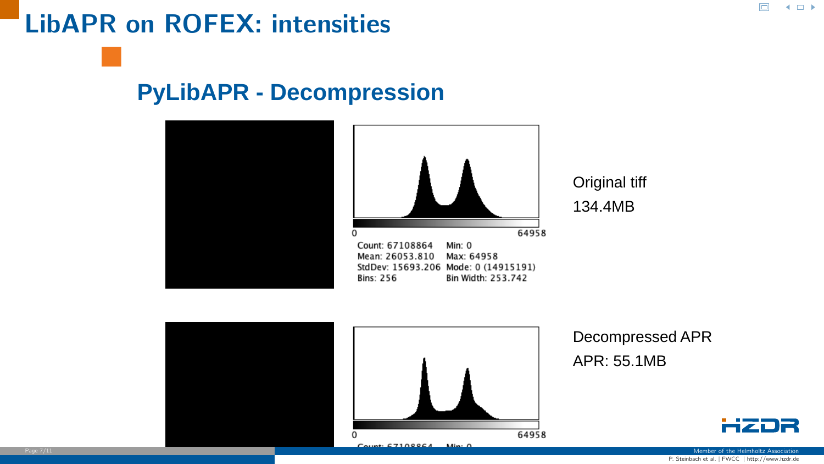### LibAPR on ROFEX: intensities

### **PyLibAPR - Decompression**





64958

### Decompressed APR APR: 55.1MB

Original tiff 134.4MB



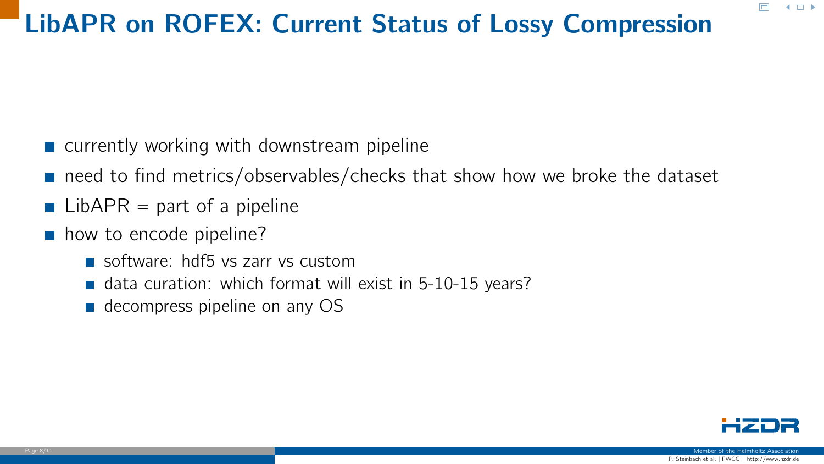## LibAPR on ROFEX: Current Status of Lossy Compression

- $\blacksquare$  currently working with downstream pipeline
- need to find metrics/observables/checks that show how we broke the dataset
- $\blacksquare$  LibAPR = part of a pipeline
- how to encode pipeline?
	- software: hdf5 vs zarr vs custom
	- data curation: which format will exist in  $5-10-15$  years?
	- decompress pipeline on any OS

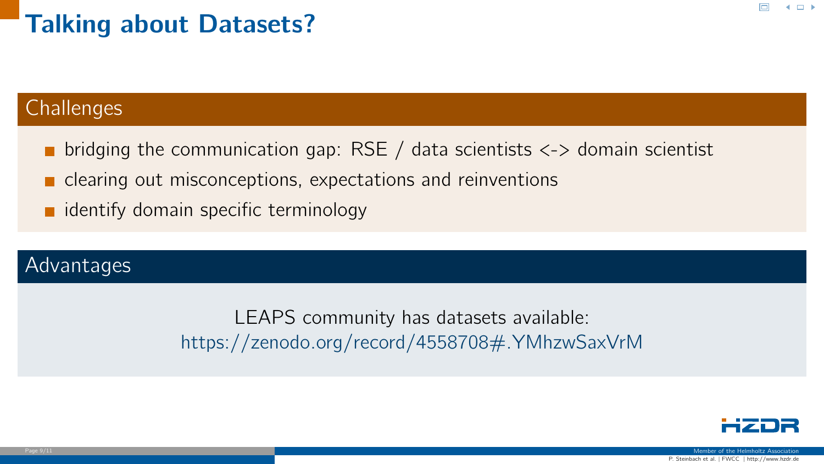### Talking about Datasets?

### **Challenges**

- **p** bridging the communication gap: RSE / data scientists  $\langle \rangle$  domain scientist
- **Explorentially clearing out misconceptions, expectations and reinventions**
- $\blacksquare$  identify domain specific terminology

### Advantages

LEAPS community has datasets available: [https://zenodo.org/record/4558708#.YMhzwSaxVrM](#page-0-0)



 $4.11 \times$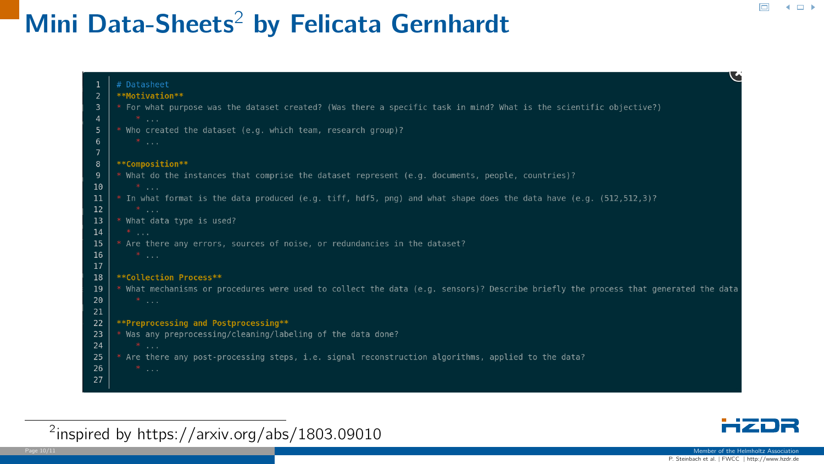## Mini Data-Sheets<sup>2</sup> by Felicata Gernhardt







 $\Box$ 

 $4.11 \times$ 

Member of the Helmholtz Association<br>P. Steinbach et al. | FWCC | http://www.hzdr.de Page 10/11 Member of the Helmholtz Association (1999) and the Helmholtz Association (1999) and the Helmholtz Association (1999) and the Helmholtz Association (1999) and the Helmholtz Association (1999) and the Helmholtz As